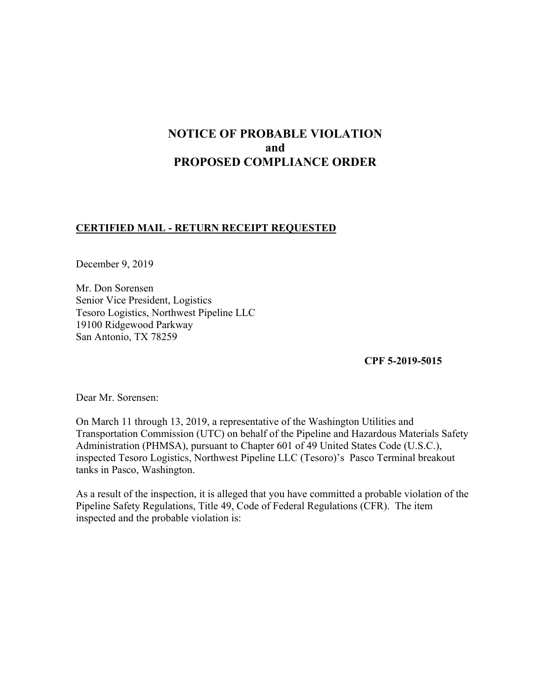# **NOTICE OF PROBABLE VIOLATION and PROPOSED COMPLIANCE ORDER**

### **CERTIFIED MAIL - RETURN RECEIPT REQUESTED**

December 9, 2019

Mr. Don Sorensen Senior Vice President, Logistics Tesoro Logistics, Northwest Pipeline LLC 19100 Ridgewood Parkway San Antonio, TX 78259

**CPF 5-2019-5015** 

Dear Mr. Sorensen:

On March 11 through 13, 2019, a representative of the Washington Utilities and Transportation Commission (UTC) on behalf of the Pipeline and Hazardous Materials Safety Administration (PHMSA), pursuant to Chapter 601 of 49 United States Code (U.S.C.), inspected Tesoro Logistics, Northwest Pipeline LLC (Tesoro)'s Pasco Terminal breakout tanks in Pasco, Washington.

As a result of the inspection, it is alleged that you have committed a probable violation of the Pipeline Safety Regulations, Title 49, Code of Federal Regulations (CFR). The item inspected and the probable violation is: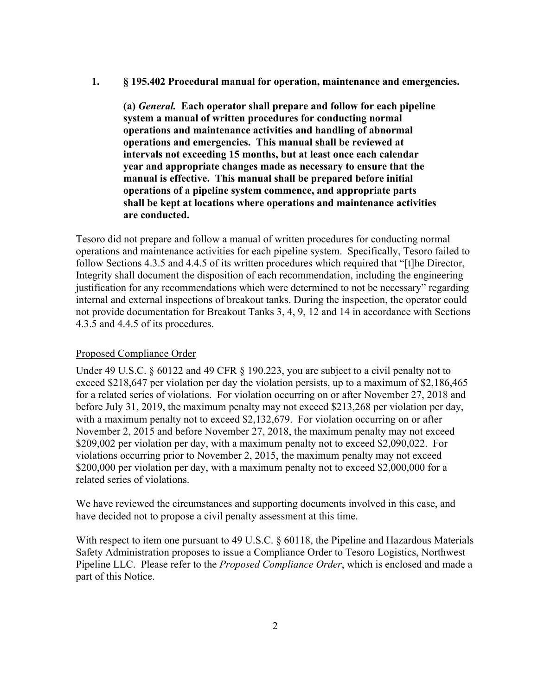### **1. § 195.402 Procedural manual for operation, maintenance and emergencies.**

**(a)** *General.* **Each operator shall prepare and follow for each pipeline system a manual of written procedures for conducting normal operations and maintenance activities and handling of abnormal operations and emergencies. This manual shall be reviewed at intervals not exceeding 15 months, but at least once each calendar year and appropriate changes made as necessary to ensure that the manual is effective. This manual shall be prepared before initial operations of a pipeline system commence, and appropriate parts shall be kept at locations where operations and maintenance activities are conducted.** 

Tesoro did not prepare and follow a manual of written procedures for conducting normal operations and maintenance activities for each pipeline system. Specifically, Tesoro failed to follow Sections 4.3.5 and 4.4.5 of its written procedures which required that "[t]he Director, Integrity shall document the disposition of each recommendation, including the engineering justification for any recommendations which were determined to not be necessary" regarding internal and external inspections of breakout tanks. During the inspection, the operator could not provide documentation for Breakout Tanks 3, 4, 9, 12 and 14 in accordance with Sections 4.3.5 and 4.4.5 of its procedures.

### Proposed Compliance Order

Under 49 U.S.C. § 60122 and 49 CFR § 190.223, you are subject to a civil penalty not to exceed \$218,647 per violation per day the violation persists, up to a maximum of \$2,186,465 for a related series of violations. For violation occurring on or after November 27, 2018 and before July 31, 2019, the maximum penalty may not exceed \$213,268 per violation per day, with a maximum penalty not to exceed \$2,132,679. For violation occurring on or after November 2, 2015 and before November 27, 2018, the maximum penalty may not exceed \$209,002 per violation per day, with a maximum penalty not to exceed \$2,090,022. For violations occurring prior to November 2, 2015, the maximum penalty may not exceed \$200,000 per violation per day, with a maximum penalty not to exceed \$2,000,000 for a related series of violations.

We have reviewed the circumstances and supporting documents involved in this case, and have decided not to propose a civil penalty assessment at this time.

With respect to item one pursuant to 49 U.S.C. § 60118, the Pipeline and Hazardous Materials Safety Administration proposes to issue a Compliance Order to Tesoro Logistics, Northwest Pipeline LLC. Please refer to the *Proposed Compliance Order*, which is enclosed and made a part of this Notice.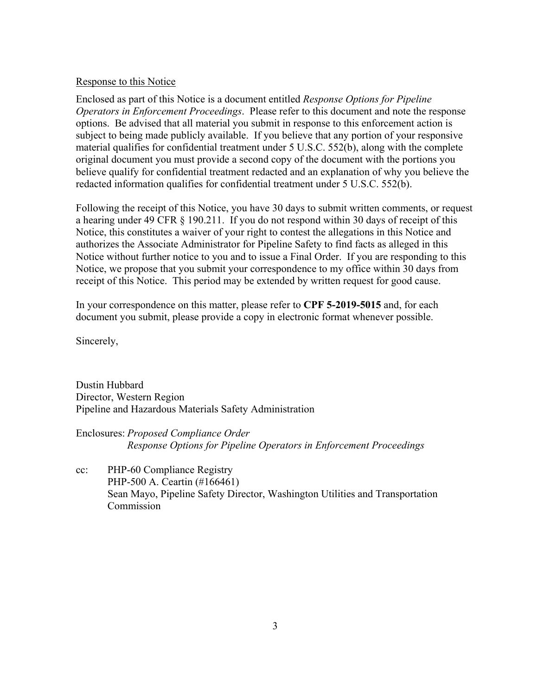### Response to this Notice

Enclosed as part of this Notice is a document entitled *Response Options for Pipeline Operators in Enforcement Proceedings*. Please refer to this document and note the response options. Be advised that all material you submit in response to this enforcement action is subject to being made publicly available. If you believe that any portion of your responsive material qualifies for confidential treatment under 5 U.S.C. 552(b), along with the complete original document you must provide a second copy of the document with the portions you believe qualify for confidential treatment redacted and an explanation of why you believe the redacted information qualifies for confidential treatment under 5 U.S.C. 552(b).

Following the receipt of this Notice, you have 30 days to submit written comments, or request a hearing under 49 CFR § 190.211. If you do not respond within 30 days of receipt of this Notice, this constitutes a waiver of your right to contest the allegations in this Notice and authorizes the Associate Administrator for Pipeline Safety to find facts as alleged in this Notice without further notice to you and to issue a Final Order. If you are responding to this Notice, we propose that you submit your correspondence to my office within 30 days from receipt of this Notice. This period may be extended by written request for good cause.

In your correspondence on this matter, please refer to **CPF 5-2019-5015** and, for each document you submit, please provide a copy in electronic format whenever possible.

Sincerely,

Dustin Hubbard Director, Western Region Pipeline and Hazardous Materials Safety Administration

Enclosures: *Proposed Compliance Order Response Options for Pipeline Operators in Enforcement Proceedings* 

cc: PHP-60 Compliance Registry PHP-500 A. Ceartin (#166461) Sean Mayo, Pipeline Safety Director, Washington Utilities and Transportation Commission